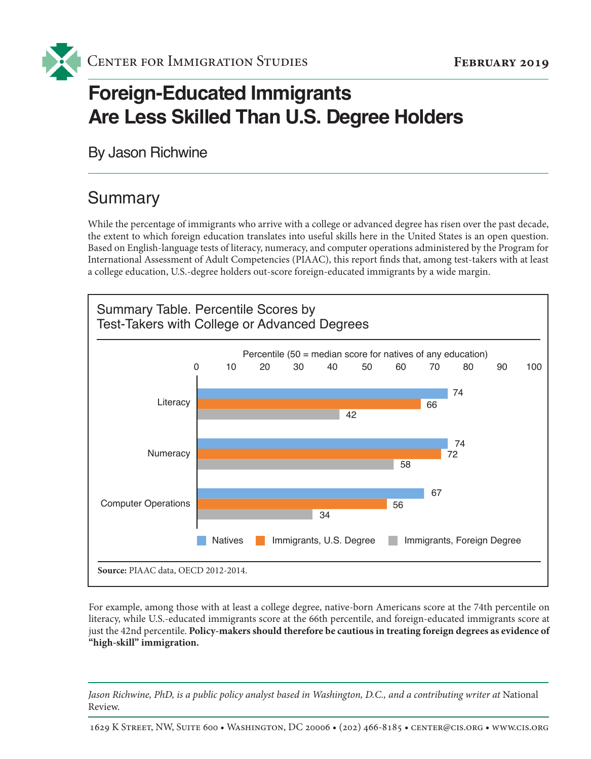

# **Foreign-Educated Immigrants Are Less Skilled Than U.S. Degree Holders**

By Jason Richwine

### **Summary**

While the percentage of immigrants who arrive with a college or advanced degree has risen over the past decade, the extent to which foreign education translates into useful skills here in the United States is an open question. Based on English-language tests of literacy, numeracy, and computer operations administered by the Program for International Assessment of Adult Competencies (PIAAC), this report finds that, among test-takers with at least a college education, U.S.-degree holders out-score foreign-educated immigrants by a wide margin.



For example, among those with at least a college degree, native-born Americans score at the 74th percentile on literacy, while U.S.-educated immigrants score at the 66th percentile, and foreign-educated immigrants score at just the 42nd percentile. **Policy-makers should therefore be cautious in treating foreign degrees as evidence of "high-skill" immigration.**

*Jason Richwine, PhD, is a public policy analyst based in Washington, D.C., and a contributing writer at National* Review.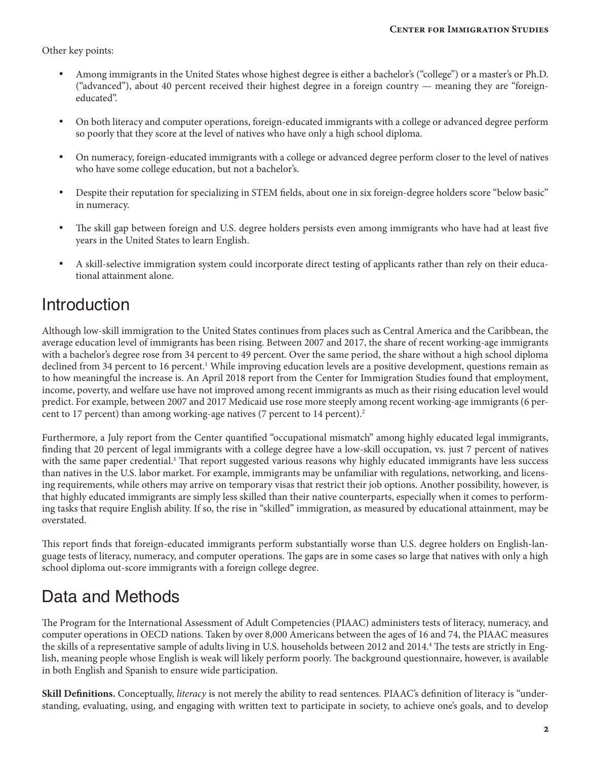Other key points:

- Among immigrants in the United States whose highest degree is either a bachelor's ("college") or a master's or Ph.D. ("advanced"), about 40 percent received their highest degree in a foreign country — meaning they are "foreigneducated".
- On both literacy and computer operations, foreign-educated immigrants with a college or advanced degree perform so poorly that they score at the level of natives who have only a high school diploma.
- • On numeracy, foreign-educated immigrants with a college or advanced degree perform closer to the level of natives who have some college education, but not a bachelor's.
- Despite their reputation for specializing in STEM fields, about one in six foreign-degree holders score "below basic" in numeracy.
- The skill gap between foreign and U.S. degree holders persists even among immigrants who have had at least five years in the United States to learn English.
- • A skill-selective immigration system could incorporate direct testing of applicants rather than rely on their educational attainment alone.

### **Introduction**

Although low-skill immigration to the United States continues from places such as Central America and the Caribbean, the average education level of immigrants has been rising. Between 2007 and 2017, the share of recent working-age immigrants with a bachelor's degree rose from 34 percent to 49 percent. Over the same period, the share without a high school diploma declined from 34 percent to 16 percent.<sup>1</sup> While improving education levels are a positive development, questions remain as to how meaningful the increase is. An April 2018 report from the Center for Immigration Studies found that employment, income, poverty, and welfare use have not improved among recent immigrants as much as their rising education level would predict. For example, between 2007 and 2017 Medicaid use rose more steeply among recent working-age immigrants (6 percent to 17 percent) than among working-age natives (7 percent to 14 percent).<sup>2</sup>

Furthermore, a July report from the Center quantified "occupational mismatch" among highly educated legal immigrants, finding that 20 percent of legal immigrants with a college degree have a low-skill occupation, vs. just 7 percent of natives with the same paper credential.<sup>3</sup> That report suggested various reasons why highly educated immigrants have less success than natives in the U.S. labor market. For example, immigrants may be unfamiliar with regulations, networking, and licensing requirements, while others may arrive on temporary visas that restrict their job options. Another possibility, however, is that highly educated immigrants are simply less skilled than their native counterparts, especially when it comes to performing tasks that require English ability. If so, the rise in "skilled" immigration, as measured by educational attainment, may be overstated.

This report finds that foreign-educated immigrants perform substantially worse than U.S. degree holders on English-language tests of literacy, numeracy, and computer operations. The gaps are in some cases so large that natives with only a high school diploma out-score immigrants with a foreign college degree.

### Data and Methods

The Program for the International Assessment of Adult Competencies (PIAAC) administers tests of literacy, numeracy, and computer operations in OECD nations. Taken by over 8,000 Americans between the ages of 16 and 74, the PIAAC measures the skills of a representative sample of adults living in U.S. households between 2012 and 2014.<sup>4</sup> The tests are strictly in English, meaning people whose English is weak will likely perform poorly. The background questionnaire, however, is available in both English and Spanish to ensure wide participation.

**Skill Definitions.** Conceptually, *literacy* is not merely the ability to read sentences. PIAAC's definition of literacy is "understanding, evaluating, using, and engaging with written text to participate in society, to achieve one's goals, and to develop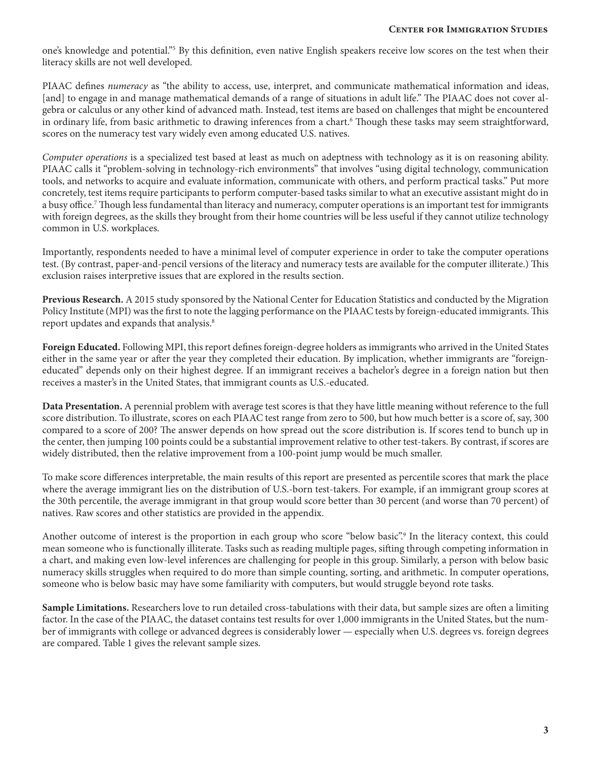one's knowledge and potential."5 By this definition, even native English speakers receive low scores on the test when their literacy skills are not well developed.

PIAAC defines *numeracy* as "the ability to access, use, interpret, and communicate mathematical information and ideas, [and] to engage in and manage mathematical demands of a range of situations in adult life." The PIAAC does not cover algebra or calculus or any other kind of advanced math. Instead, test items are based on challenges that might be encountered in ordinary life, from basic arithmetic to drawing inferences from a chart.<sup>6</sup> Though these tasks may seem straightforward, scores on the numeracy test vary widely even among educated U.S. natives.

*Computer operations* is a specialized test based at least as much on adeptness with technology as it is on reasoning ability. PIAAC calls it "problem-solving in technology-rich environments" that involves "using digital technology, communication tools, and networks to acquire and evaluate information, communicate with others, and perform practical tasks." Put more concretely, test items require participants to perform computer-based tasks similar to what an executive assistant might do in a busy office.7 Though less fundamental than literacy and numeracy, computer operations is an important test for immigrants with foreign degrees, as the skills they brought from their home countries will be less useful if they cannot utilize technology common in U.S. workplaces.

Importantly, respondents needed to have a minimal level of computer experience in order to take the computer operations test. (By contrast, paper-and-pencil versions of the literacy and numeracy tests are available for the computer illiterate.) This exclusion raises interpretive issues that are explored in the results section.

**Previous Research.** A 2015 study sponsored by the National Center for Education Statistics and conducted by the Migration Policy Institute (MPI) was the first to note the lagging performance on the PIAAC tests by foreign-educated immigrants. This report updates and expands that analysis.<sup>8</sup>

**Foreign Educated.** Following MPI, this report defines foreign-degree holders as immigrants who arrived in the United States either in the same year or after the year they completed their education. By implication, whether immigrants are "foreigneducated" depends only on their highest degree. If an immigrant receives a bachelor's degree in a foreign nation but then receives a master's in the United States, that immigrant counts as U.S.-educated.

**Data Presentation.** A perennial problem with average test scores is that they have little meaning without reference to the full score distribution. To illustrate, scores on each PIAAC test range from zero to 500, but how much better is a score of, say, 300 compared to a score of 200? The answer depends on how spread out the score distribution is. If scores tend to bunch up in the center, then jumping 100 points could be a substantial improvement relative to other test-takers. By contrast, if scores are widely distributed, then the relative improvement from a 100-point jump would be much smaller.

To make score differences interpretable, the main results of this report are presented as percentile scores that mark the place where the average immigrant lies on the distribution of U.S.-born test-takers. For example, if an immigrant group scores at the 30th percentile, the average immigrant in that group would score better than 30 percent (and worse than 70 percent) of natives. Raw scores and other statistics are provided in the appendix.

Another outcome of interest is the proportion in each group who score "below basic".<sup>9</sup> In the literacy context, this could mean someone who is functionally illiterate. Tasks such as reading multiple pages, sifting through competing information in a chart, and making even low-level inferences are challenging for people in this group. Similarly, a person with below basic numeracy skills struggles when required to do more than simple counting, sorting, and arithmetic. In computer operations, someone who is below basic may have some familiarity with computers, but would struggle beyond rote tasks.

**Sample Limitations.** Researchers love to run detailed cross-tabulations with their data, but sample sizes are often a limiting factor. In the case of the PIAAC, the dataset contains test results for over 1,000 immigrants in the United States, but the number of immigrants with college or advanced degrees is considerably lower — especially when U.S. degrees vs. foreign degrees are compared. Table 1 gives the relevant sample sizes.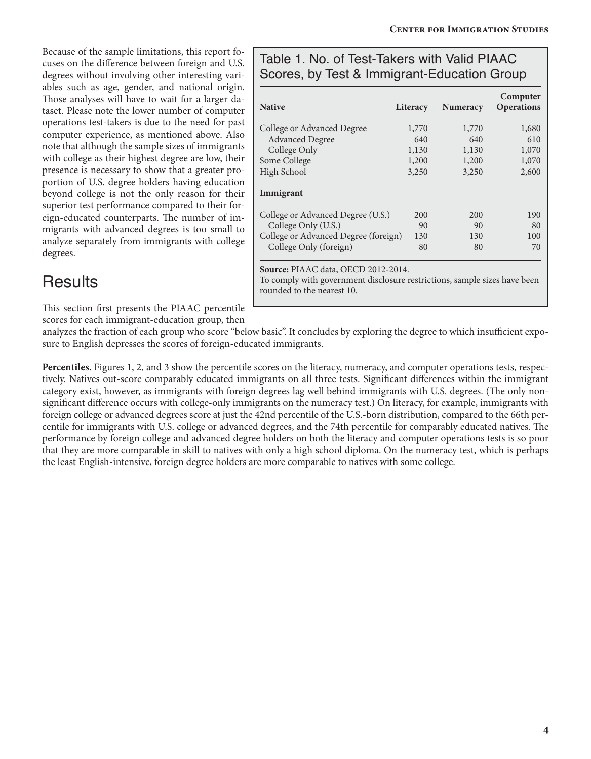Because of the sample limitations, this report focuses on the difference between foreign and U.S. degrees without involving other interesting variables such as age, gender, and national origin. Those analyses will have to wait for a larger dataset. Please note the lower number of computer operations test-takers is due to the need for past computer experience, as mentioned above. Also note that although the sample sizes of immigrants with college as their highest degree are low, their presence is necessary to show that a greater proportion of U.S. degree holders having education beyond college is not the only reason for their superior test performance compared to their foreign-educated counterparts. The number of immigrants with advanced degrees is too small to analyze separately from immigrants with college degrees.

### **Results**

This section first presents the PIAAC percentile

scores for each immigrant-education group, then

#### Table 1. No. of Test-Takers with Valid PIAAC Scores, by Test & Immigrant-Education Group

| <b>Native</b>                        | Literacy | <b>Numeracy</b> | Computer<br><b>Operations</b> |
|--------------------------------------|----------|-----------------|-------------------------------|
| College or Advanced Degree           | 1,770    | 1,770           | 1,680                         |
| <b>Advanced Degree</b>               | 640      | 640             | 610                           |
| College Only                         | 1,130    | 1,130           | 1,070                         |
| Some College                         | 1,200    | 1,200           | 1,070                         |
| High School                          | 3,250    | 3,250           | 2,600                         |
| Immigrant                            |          |                 |                               |
| College or Advanced Degree (U.S.)    | 200      | 200             | 190                           |
| College Only (U.S.)                  | 90       | 90              | 80                            |
| College or Advanced Degree (foreign) | 130      | 130             | 100                           |
| College Only (foreign)               | 80       | 80              | 70                            |
| Source: PIAAC data, OECD 2012-2014.  |          |                 |                               |

To comply with government disclosure restrictions, sample sizes have been rounded to the nearest 10.

analyzes the fraction of each group who score "below basic". It concludes by exploring the degree to which insufficient exposure to English depresses the scores of foreign-educated immigrants.

Percentiles. Figures 1, 2, and 3 show the percentile scores on the literacy, numeracy, and computer operations tests, respectively. Natives out-score comparably educated immigrants on all three tests. Significant differences within the immigrant category exist, however, as immigrants with foreign degrees lag well behind immigrants with U.S. degrees. (The only nonsignificant difference occurs with college-only immigrants on the numeracy test.) On literacy, for example, immigrants with foreign college or advanced degrees score at just the 42nd percentile of the U.S.-born distribution, compared to the 66th percentile for immigrants with U.S. college or advanced degrees, and the 74th percentile for comparably educated natives. The performance by foreign college and advanced degree holders on both the literacy and computer operations tests is so poor that they are more comparable in skill to natives with only a high school diploma. On the numeracy test, which is perhaps the least English-intensive, foreign degree holders are more comparable to natives with some college.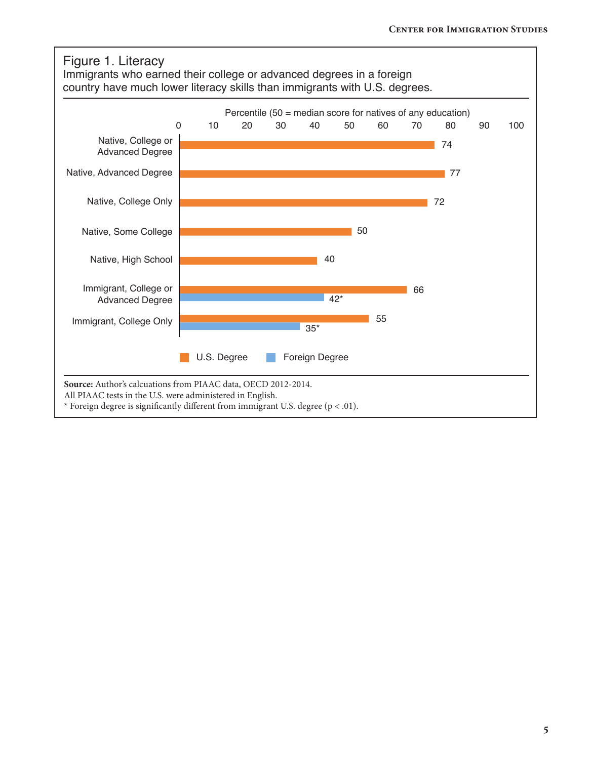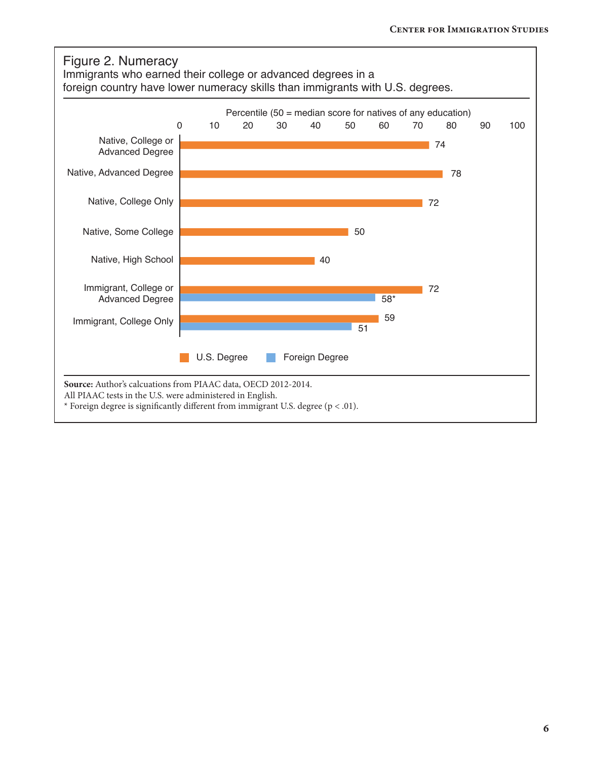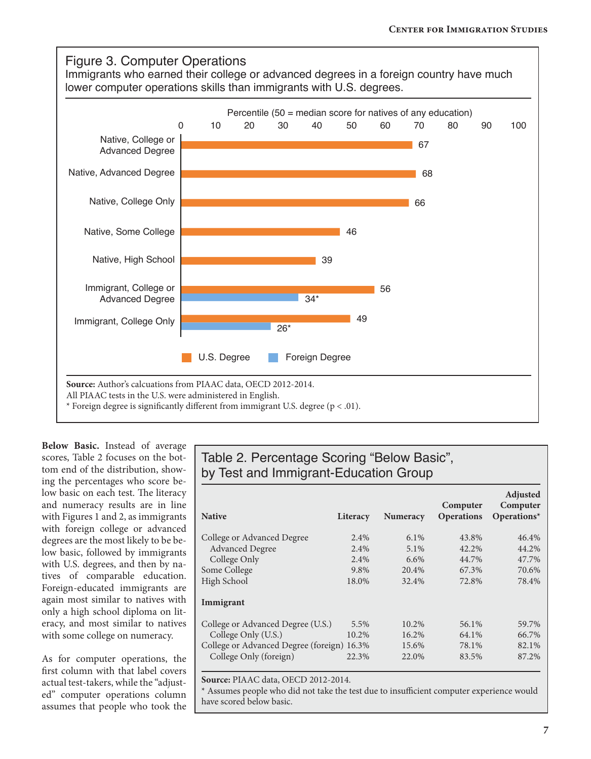

**Below Basic.** Instead of average scores, Table 2 focuses on the bottom end of the distribution, showing the percentages who score below basic on each test. The literacy and numeracy results are in line with Figures 1 and 2, as immigrants with foreign college or advanced degrees are the most likely to be below basic, followed by immigrants with U.S. degrees, and then by natives of comparable education. Foreign-educated immigrants are again most similar to natives with only a high school diploma on literacy, and most similar to natives with some college on numeracy.

As for computer operations, the first column with that label covers actual test-takers, while the "adjusted" computer operations column assumes that people who took the

### Table 2. Percentage Scoring "Below Basic", by Test and Immigrant-Education Group

| <b>Native</b>                              | Literacy | <b>Numeracy</b> | Computer<br><b>Operations</b> | Adjusted<br>Computer<br>Operations $*$ |
|--------------------------------------------|----------|-----------------|-------------------------------|----------------------------------------|
| College or Advanced Degree                 | 2.4%     | $6.1\%$         | 43.8%                         | 46.4%                                  |
| <b>Advanced Degree</b>                     | 2.4%     | 5.1%            | 42.2%                         | 44.2%                                  |
| College Only                               | 2.4%     | $6.6\%$         | 44.7%                         | 47.7%                                  |
| Some College                               | 9.8%     | 20.4%           | 67.3%                         | 70.6%                                  |
| High School                                | 18.0%    | 32.4%           | 72.8%                         | 78.4%                                  |
| Immigrant                                  |          |                 |                               |                                        |
| College or Advanced Degree (U.S.)          | 5.5%     | 10.2%           | 56.1%                         | 59.7%                                  |
| College Only (U.S.)                        | 10.2%    | 16.2%           | 64.1%                         | 66.7%                                  |
| College or Advanced Degree (foreign) 16.3% |          | 15.6%           | 78.1%                         | 82.1%                                  |
| College Only (foreign)                     | 22.3%    | 22.0%           | 83.5%                         | 87.2%                                  |

**Source:** PIAAC data, OECD 2012-2014.

\* Assumes people who did not take the test due to insufficient computer experience would have scored below basic.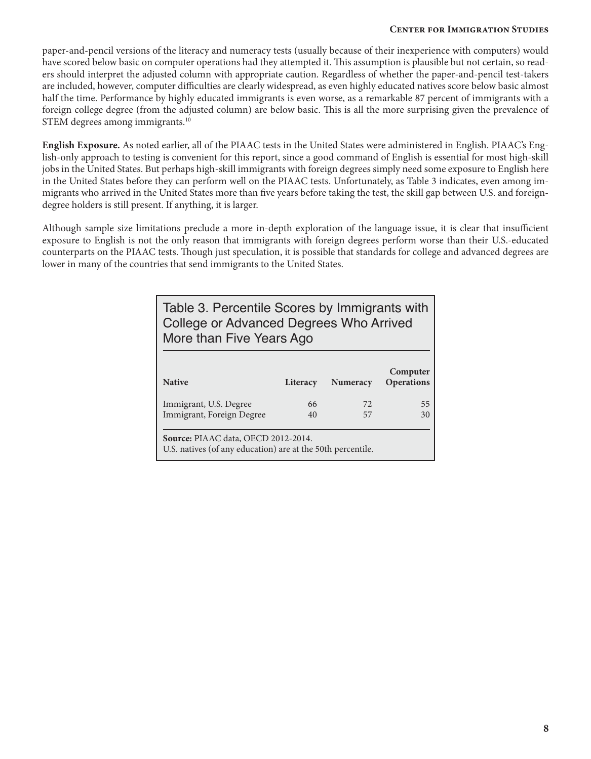#### **Center for Immigration Studies**

paper-and-pencil versions of the literacy and numeracy tests (usually because of their inexperience with computers) would have scored below basic on computer operations had they attempted it. This assumption is plausible but not certain, so readers should interpret the adjusted column with appropriate caution. Regardless of whether the paper-and-pencil test-takers are included, however, computer difficulties are clearly widespread, as even highly educated natives score below basic almost half the time. Performance by highly educated immigrants is even worse, as a remarkable 87 percent of immigrants with a foreign college degree (from the adjusted column) are below basic. This is all the more surprising given the prevalence of STEM degrees among immigrants.<sup>10</sup>

**English Exposure.** As noted earlier, all of the PIAAC tests in the United States were administered in English. PIAAC's English-only approach to testing is convenient for this report, since a good command of English is essential for most high-skill jobs in the United States. But perhaps high-skill immigrants with foreign degrees simply need some exposure to English here in the United States before they can perform well on the PIAAC tests. Unfortunately, as Table 3 indicates, even among immigrants who arrived in the United States more than five years before taking the test, the skill gap between U.S. and foreigndegree holders is still present. If anything, it is larger.

Although sample size limitations preclude a more in-depth exploration of the language issue, it is clear that insufficient exposure to English is not the only reason that immigrants with foreign degrees perform worse than their U.S.-educated counterparts on the PIAAC tests. Though just speculation, it is possible that standards for college and advanced degrees are lower in many of the countries that send immigrants to the United States.

| Table 3. Percentile Scores by Immigrants with<br>College or Advanced Degrees Who Arrived<br>More than Five Years Ago |          |                 |                               |  |
|----------------------------------------------------------------------------------------------------------------------|----------|-----------------|-------------------------------|--|
| <b>Native</b>                                                                                                        | Literacy | <b>Numeracy</b> | Computer<br><b>Operations</b> |  |
| Immigrant, U.S. Degree                                                                                               | 66       | 72.             | 55                            |  |
| Immigrant, Foreign Degree                                                                                            | 40       | 57              | 30                            |  |
| Source: PIAAC data, OECD 2012-2014.<br>U.S. natives (of any education) are at the 50th percentile.                   |          |                 |                               |  |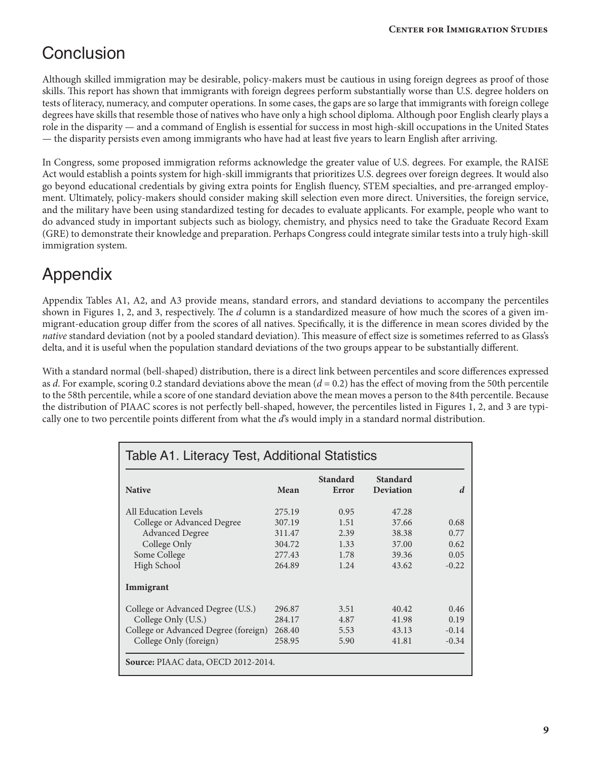### **Conclusion**

Although skilled immigration may be desirable, policy-makers must be cautious in using foreign degrees as proof of those skills. This report has shown that immigrants with foreign degrees perform substantially worse than U.S. degree holders on tests of literacy, numeracy, and computer operations. In some cases, the gaps are so large that immigrants with foreign college degrees have skills that resemble those of natives who have only a high school diploma. Although poor English clearly plays a role in the disparity — and a command of English is essential for success in most high-skill occupations in the United States — the disparity persists even among immigrants who have had at least five years to learn English after arriving.

In Congress, some proposed immigration reforms acknowledge the greater value of U.S. degrees. For example, the RAISE Act would establish a points system for high-skill immigrants that prioritizes U.S. degrees over foreign degrees. It would also go beyond educational credentials by giving extra points for English fluency, STEM specialties, and pre-arranged employment. Ultimately, policy-makers should consider making skill selection even more direct. Universities, the foreign service, and the military have been using standardized testing for decades to evaluate applicants. For example, people who want to do advanced study in important subjects such as biology, chemistry, and physics need to take the Graduate Record Exam (GRE) to demonstrate their knowledge and preparation. Perhaps Congress could integrate similar tests into a truly high-skill immigration system.

### Appendix

Appendix Tables A1, A2, and A3 provide means, standard errors, and standard deviations to accompany the percentiles shown in Figures 1, 2, and 3, respectively. The *d* column is a standardized measure of how much the scores of a given immigrant-education group differ from the scores of all natives. Specifically, it is the difference in mean scores divided by the *native* standard deviation (not by a pooled standard deviation). This measure of effect size is sometimes referred to as Glass's delta, and it is useful when the population standard deviations of the two groups appear to be substantially different.

With a standard normal (bell-shaped) distribution, there is a direct link between percentiles and score differences expressed as *d*. For example, scoring 0.2 standard deviations above the mean (*d* = 0.2) has the effect of moving from the 50th percentile to the 58th percentile, while a score of one standard deviation above the mean moves a person to the 84th percentile. Because the distribution of PIAAC scores is not perfectly bell-shaped, however, the percentiles listed in Figures 1, 2, and 3 are typically one to two percentile points different from what the *d*'s would imply in a standard normal distribution.

| <b>Native</b>                        | Mean    | Standard<br>Error | <b>Standard</b><br><b>Deviation</b> | d       |
|--------------------------------------|---------|-------------------|-------------------------------------|---------|
| All Education Levels                 | 2.75.19 | 0.95              | 47.28                               |         |
| College or Advanced Degree           | 307.19  | 1.51              | 37.66                               | 0.68    |
| <b>Advanced Degree</b>               | 311.47  | 2.39              | 38.38                               | 0.77    |
| College Only                         | 304.72  | 1.33              | 37.00                               | 0.62    |
| Some College                         | 277.43  | 1.78              | 39.36                               | 0.05    |
| High School                          | 264.89  | 1.24              | 43.62                               | $-0.22$ |
| Immigrant                            |         |                   |                                     |         |
| College or Advanced Degree (U.S.)    | 296.87  | 3.51              | 40.42                               | 0.46    |
| College Only (U.S.)                  | 284.17  | 4.87              | 41.98                               | 0.19    |
| College or Advanced Degree (foreign) | 268.40  | 5.53              | 43.13                               | $-0.14$ |
| College Only (foreign)               | 258.95  | 5.90              | 41.81                               | $-0.34$ |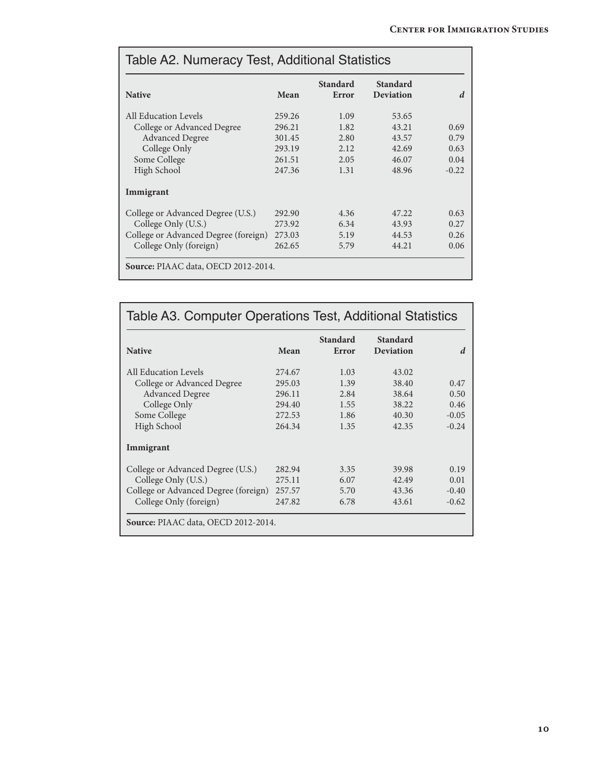| <b>Native</b>                        | Mean   | <b>Standard</b><br>Error | <b>Standard</b><br><b>Deviation</b> | d       |
|--------------------------------------|--------|--------------------------|-------------------------------------|---------|
| All Education Levels                 | 259.26 | 1.09                     | 53.65                               |         |
| College or Advanced Degree           | 296.21 | 1.82                     | 43.21                               | 0.69    |
| <b>Advanced Degree</b>               | 301.45 | 2.80                     | 43.57                               | 0.79    |
| College Only                         | 293.19 | 2.12                     | 42.69                               | 0.63    |
| Some College                         | 261.51 | 2.05                     | 46.07                               | 0.04    |
| High School                          | 247.36 | 1.31                     | 48.96                               | $-0.22$ |
| Immigrant                            |        |                          |                                     |         |
| College or Advanced Degree (U.S.)    | 292.90 | 4.36                     | 47.22                               | 0.63    |
| College Only (U.S.)                  | 273.92 | 6.34                     | 43.93                               | 0.27    |
| College or Advanced Degree (foreign) | 273.03 | 5.19                     | 44.53                               | 0.26    |
| College Only (foreign)               | 262.65 | 5.79                     | 44.21                               | 0.06    |

|                                      |        | <b>Standard</b> | <b>Standard</b> |         |
|--------------------------------------|--------|-----------------|-----------------|---------|
| <b>Native</b>                        | Mean   | Error           | Deviation       | d       |
| All Education Levels                 | 274.67 | 1.03            | 43.02           |         |
| College or Advanced Degree           | 295.03 | 1.39            | 38.40           | 0.47    |
| <b>Advanced Degree</b>               | 296.11 | 2.84            | 38.64           | 0.50    |
| College Only                         | 294.40 | 1.55            | 38.22           | 0.46    |
| Some College                         | 272.53 | 1.86            | 40.30           | $-0.05$ |
| High School                          | 264.34 | 1.35            | 42.35           | $-0.24$ |
| Immigrant                            |        |                 |                 |         |
| College or Advanced Degree (U.S.)    | 282.94 | 3.35            | 39.98           | 0.19    |
| College Only (U.S.)                  | 275.11 | 6.07            | 42.49           | 0.01    |
| College or Advanced Degree (foreign) | 257.57 | 5.70            | 43.36           | $-0.40$ |
| College Only (foreign)               | 247.82 | 6.78            | 43.61           | $-0.62$ |